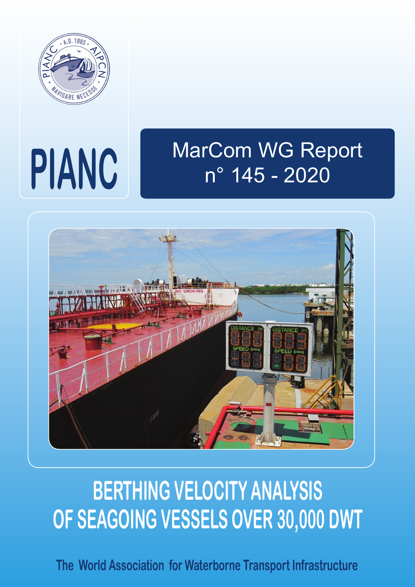

# **PIANC**

## MarCom WG Report n° 145 - 2020



## **BERTHING VELOCITY ANALYSIS OF SEAGOING VESSELS OVER 30,000 DWT**

**The World Association for Waterborne Transport Infrastructure**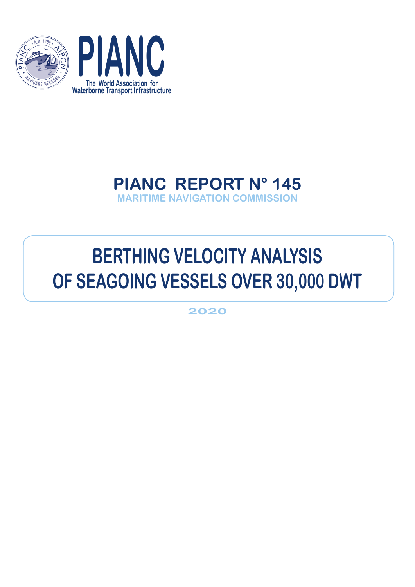



### **PIANC REPORT N° 145 MARITIME NAVIGATION COMMISSION**

## **BERTHING VELOCITY ANALYSIS OF SEAGOING VESSELS OVER 30,000 DWT**

**2020**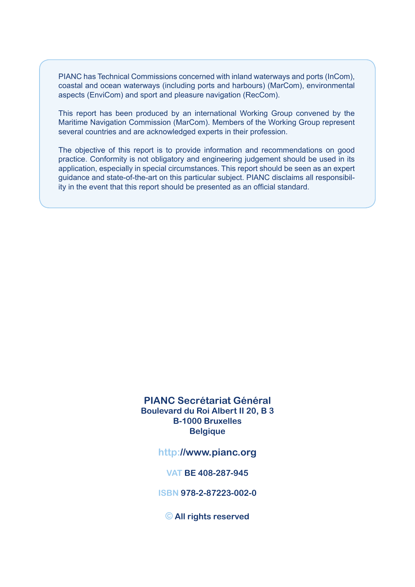PIANC has Technical Commissions concerned with inland waterways and ports (InCom), coastal and ocean waterways (including ports and harbours) (MarCom), environmental aspects (EnviCom) and sport and pleasure navigation (RecCom).

This report has been produced by an international Working Group convened by the Maritime Navigation Commission (MarCom). Members of the Working Group represent several countries and are acknowledged experts in their profession.

The objective of this report is to provide information and recommendations on good practice. Conformity is not obligatory and engineering judgement should be used in its application, especially in special circumstances. This report should be seen as an expert guidance and state-of-the-art on this particular subject. PIANC disclaims all responsibility in the event that this report should be presented as an official standard.

#### **PIANC Secrétariat Général Boulevard du Roi Albert II 20, B 3 B-1000 Bruxelles Belgique**

**http://www.pianc.org**

**VAT BE 408-287-945**

**ISBN 978-2-87223-002-0**

**© All rights reserved**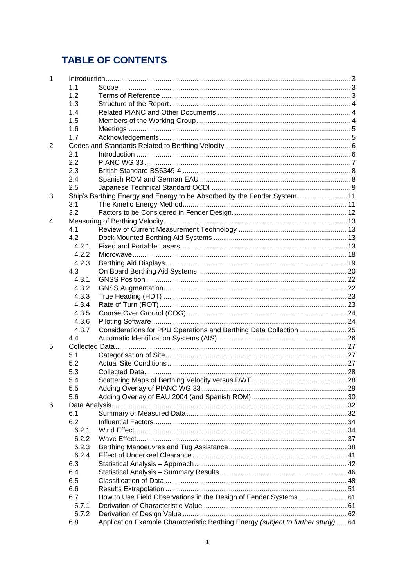#### **TABLE OF CONTENTS**

| 1 |       |                                                                                   |  |  |
|---|-------|-----------------------------------------------------------------------------------|--|--|
|   | 1.1   |                                                                                   |  |  |
|   | 1.2   |                                                                                   |  |  |
|   | 1.3   |                                                                                   |  |  |
|   | 1.4   |                                                                                   |  |  |
|   | 1.5   |                                                                                   |  |  |
|   | 1.6   |                                                                                   |  |  |
|   | 1.7   |                                                                                   |  |  |
| 2 |       |                                                                                   |  |  |
|   | 2.1   |                                                                                   |  |  |
|   | 2.2   |                                                                                   |  |  |
|   | 2.3   |                                                                                   |  |  |
|   | 2.4   |                                                                                   |  |  |
|   | 2.5   |                                                                                   |  |  |
|   |       |                                                                                   |  |  |
| 3 |       | Ship's Berthing Energy and Energy to be Absorbed by the Fender System  11         |  |  |
|   | 3.1   |                                                                                   |  |  |
|   | 3.2   |                                                                                   |  |  |
| 4 |       |                                                                                   |  |  |
|   | 4.1   |                                                                                   |  |  |
|   | 4.2   |                                                                                   |  |  |
|   | 4.2.1 |                                                                                   |  |  |
|   | 4.2.2 |                                                                                   |  |  |
|   | 4.2.3 |                                                                                   |  |  |
|   | 4.3   |                                                                                   |  |  |
|   | 4.3.1 |                                                                                   |  |  |
|   | 4.3.2 |                                                                                   |  |  |
|   | 4.3.3 |                                                                                   |  |  |
|   | 4.3.4 |                                                                                   |  |  |
|   | 4.3.5 |                                                                                   |  |  |
|   | 4.3.6 |                                                                                   |  |  |
|   | 4.3.7 | Considerations for PPU Operations and Berthing Data Collection  25                |  |  |
|   | 4.4   |                                                                                   |  |  |
| 5 |       |                                                                                   |  |  |
|   | 5.1   |                                                                                   |  |  |
|   | 5.2   |                                                                                   |  |  |
|   | 5.3   |                                                                                   |  |  |
|   | 5.4   |                                                                                   |  |  |
|   | 5.5   |                                                                                   |  |  |
|   | 5.6   |                                                                                   |  |  |
| 6 |       |                                                                                   |  |  |
|   | 6.1   |                                                                                   |  |  |
|   | 6.2   |                                                                                   |  |  |
|   |       |                                                                                   |  |  |
|   | 6.2.1 |                                                                                   |  |  |
|   | 6.2.2 |                                                                                   |  |  |
|   | 6.2.3 |                                                                                   |  |  |
|   | 6.2.4 |                                                                                   |  |  |
|   | 6.3   |                                                                                   |  |  |
|   | 6.4   |                                                                                   |  |  |
|   | 6.5   |                                                                                   |  |  |
|   | 6.6   |                                                                                   |  |  |
|   | 6.7   | How to Use Field Observations in the Design of Fender Systems 61                  |  |  |
|   | 6.7.1 |                                                                                   |  |  |
|   | 6.7.2 |                                                                                   |  |  |
|   | 6.8   | Application Example Characteristic Berthing Energy (subject to further study)  64 |  |  |